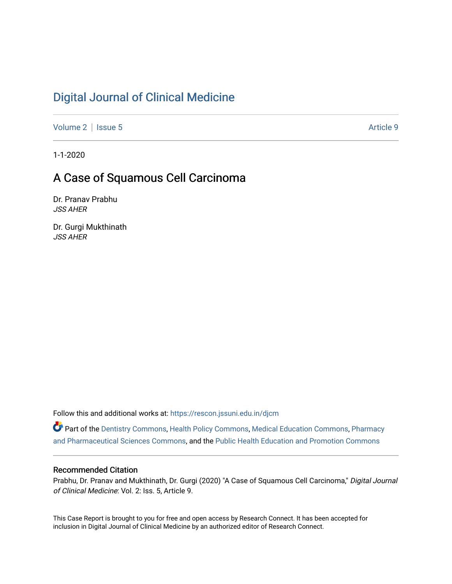# [Digital Journal of Clinical Medicine](https://rescon.jssuni.edu.in/djcm)

[Volume 2](https://rescon.jssuni.edu.in/djcm/vol2) | [Issue 5](https://rescon.jssuni.edu.in/djcm/vol2/iss5) Article 9

1-1-2020

# A Case of Squamous Cell Carcinoma

Dr. Pranav Prabhu JSS AHER

Dr. Gurgi Mukthinath JSS AHER

Follow this and additional works at: [https://rescon.jssuni.edu.in/djcm](https://rescon.jssuni.edu.in/djcm?utm_source=rescon.jssuni.edu.in%2Fdjcm%2Fvol2%2Fiss5%2F9&utm_medium=PDF&utm_campaign=PDFCoverPages) 

Part of the [Dentistry Commons,](http://network.bepress.com/hgg/discipline/651?utm_source=rescon.jssuni.edu.in%2Fdjcm%2Fvol2%2Fiss5%2F9&utm_medium=PDF&utm_campaign=PDFCoverPages) [Health Policy Commons,](http://network.bepress.com/hgg/discipline/395?utm_source=rescon.jssuni.edu.in%2Fdjcm%2Fvol2%2Fiss5%2F9&utm_medium=PDF&utm_campaign=PDFCoverPages) [Medical Education Commons,](http://network.bepress.com/hgg/discipline/1125?utm_source=rescon.jssuni.edu.in%2Fdjcm%2Fvol2%2Fiss5%2F9&utm_medium=PDF&utm_campaign=PDFCoverPages) [Pharmacy](http://network.bepress.com/hgg/discipline/731?utm_source=rescon.jssuni.edu.in%2Fdjcm%2Fvol2%2Fiss5%2F9&utm_medium=PDF&utm_campaign=PDFCoverPages) [and Pharmaceutical Sciences Commons,](http://network.bepress.com/hgg/discipline/731?utm_source=rescon.jssuni.edu.in%2Fdjcm%2Fvol2%2Fiss5%2F9&utm_medium=PDF&utm_campaign=PDFCoverPages) and the [Public Health Education and Promotion Commons](http://network.bepress.com/hgg/discipline/743?utm_source=rescon.jssuni.edu.in%2Fdjcm%2Fvol2%2Fiss5%2F9&utm_medium=PDF&utm_campaign=PDFCoverPages) 

#### Recommended Citation

Prabhu, Dr. Pranav and Mukthinath, Dr. Gurgi (2020) "A Case of Squamous Cell Carcinoma," Digital Journal of Clinical Medicine: Vol. 2: Iss. 5, Article 9.

This Case Report is brought to you for free and open access by Research Connect. It has been accepted for inclusion in Digital Journal of Clinical Medicine by an authorized editor of Research Connect.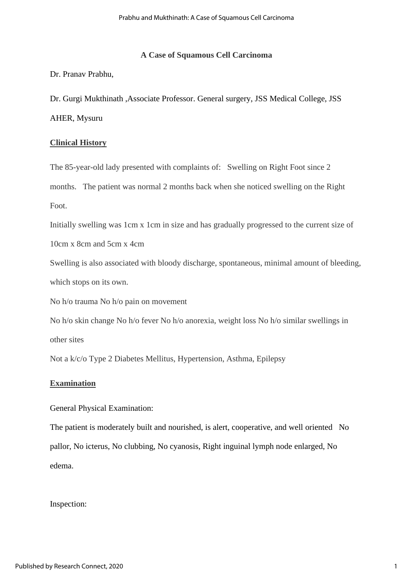#### **A Case of Squamous Cell Carcinoma**

Dr. Pranav Prabhu,

Dr. Gurgi Mukthinath ,Associate Professor. General surgery, JSS Medical College, JSS AHER, Mysuru

#### **Clinical History**

The 85-year-old lady presented with complaints of: Swelling on Right Foot since 2 months. The patient was normal 2 months back when she noticed swelling on the Right Foot.

Initially swelling was 1cm x 1cm in size and has gradually progressed to the current size of 10cm x 8cm and 5cm x 4cm

Swelling is also associated with bloody discharge, spontaneous, minimal amount of bleeding, which stops on its own.

No h/o trauma No h/o pain on movement

No h/o skin change No h/o fever No h/o anorexia, weight loss No h/o similar swellings in other sites

Not a k/c/o Type 2 Diabetes Mellitus, Hypertension, Asthma, Epilepsy

#### **Examination**

General Physical Examination:

The patient is moderately built and nourished, is alert, cooperative, and well oriented No pallor, No icterus, No clubbing, No cyanosis, Right inguinal lymph node enlarged, No edema.

Inspection: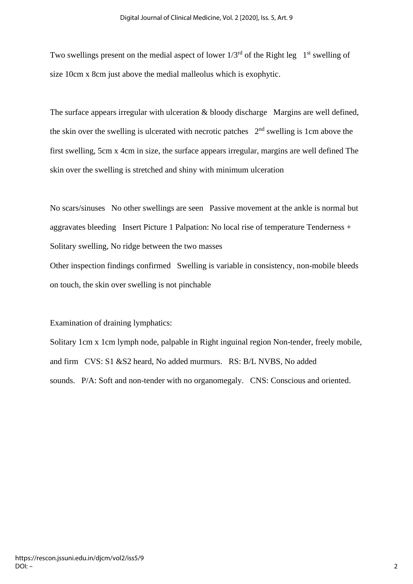Two swellings present on the medial aspect of lower  $1/3<sup>rd</sup>$  of the Right leg  $1<sup>st</sup>$  swelling of size 10cm x 8cm just above the medial malleolus which is exophytic.

The surface appears irregular with ulceration & bloody discharge Margins are well defined, the skin over the swelling is ulcerated with necrotic patches  $2<sup>nd</sup>$  swelling is 1cm above the first swelling, 5cm x 4cm in size, the surface appears irregular, margins are well defined The skin over the swelling is stretched and shiny with minimum ulceration

No scars/sinuses No other swellings are seen Passive movement at the ankle is normal but aggravates bleeding Insert Picture 1 Palpation: No local rise of temperature Tenderness + Solitary swelling, No ridge between the two masses

Other inspection findings confirmed Swelling is variable in consistency, non-mobile bleeds on touch, the skin over swelling is not pinchable

#### Examination of draining lymphatics:

Solitary 1cm x 1cm lymph node, palpable in Right inguinal region Non-tender, freely mobile, and firm CVS: S1 &S2 heard, No added murmurs. RS: B/L NVBS, No added sounds. P/A: Soft and non-tender with no organomegaly. CNS: Conscious and oriented.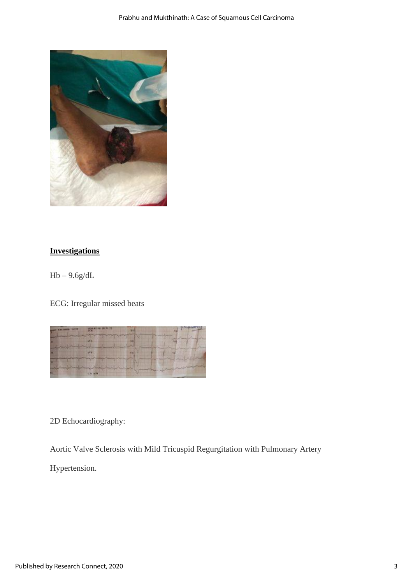

### **Investigations**

Hb – 9.6g/dL

ECG: Irregular missed beats



2D Echocardiography:

Aortic Valve Sclerosis with Mild Tricuspid Regurgitation with Pulmonary Artery

Hypertension.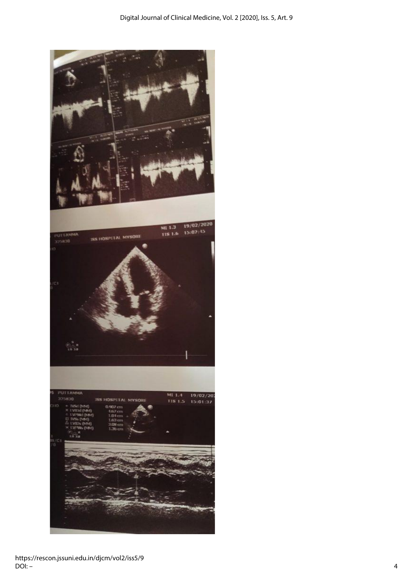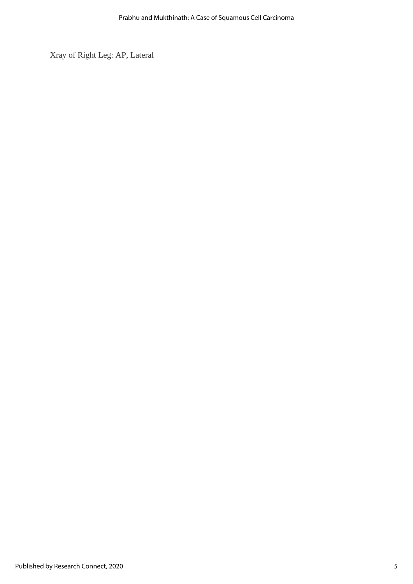Xray of Right Leg: AP, Lateral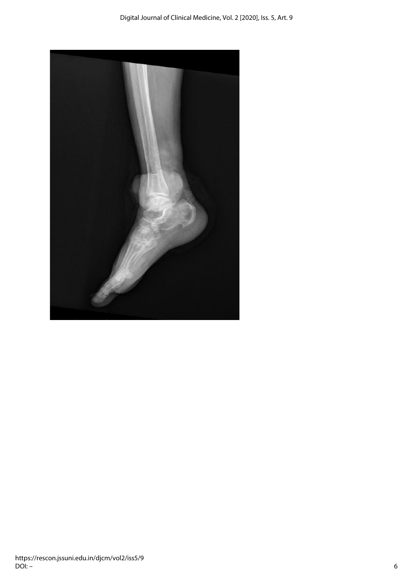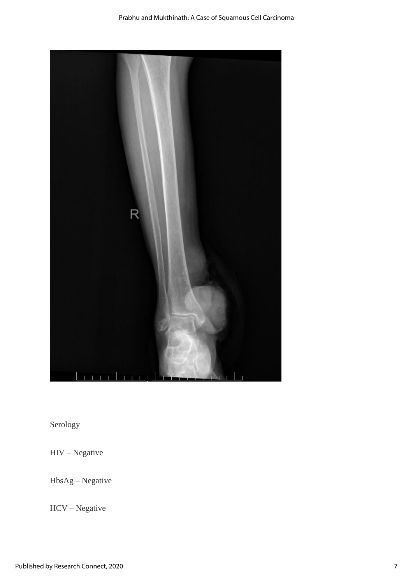

Serology

HIV – Negative

HbsAg – Negative

HCV – Negative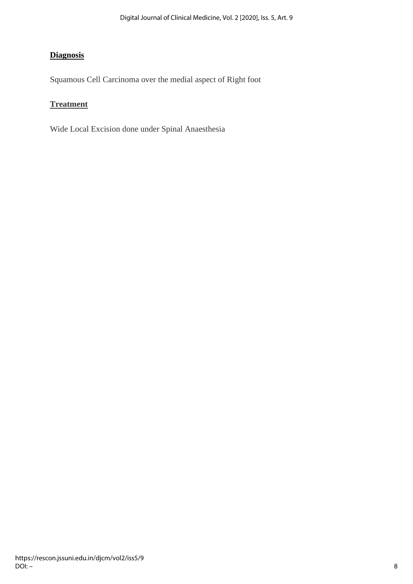### **Diagnosis**

Squamous Cell Carcinoma over the medial aspect of Right foot

### **Treatment**

Wide Local Excision done under Spinal Anaesthesia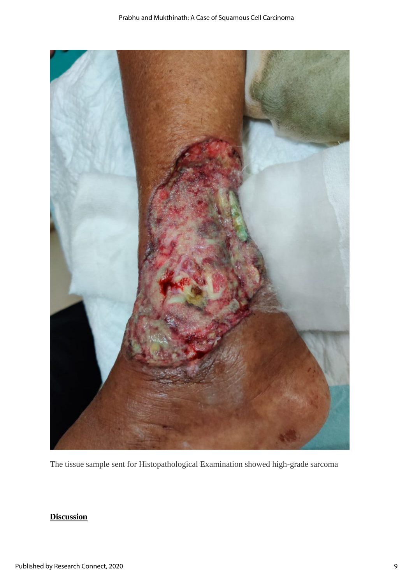

The tissue sample sent for Histopathological Examination showed high-grade sarcoma

# **Discussion**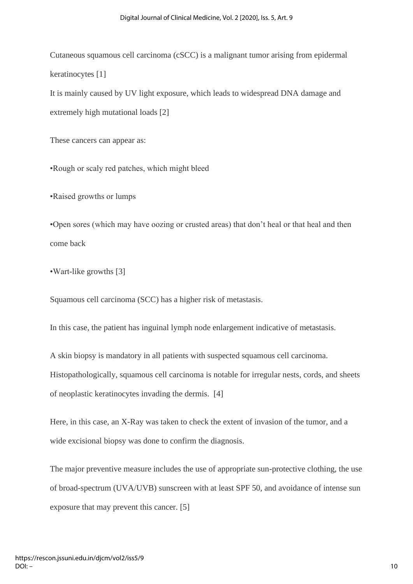Cutaneous squamous cell carcinoma (cSCC) is a malignant tumor arising from epidermal keratinocytes [1]

It is mainly caused by UV light exposure, which leads to widespread DNA damage and extremely high mutational loads [2]

These cancers can appear as:

•Rough or scaly red patches, which might bleed

•Raised growths or lumps

•Open sores (which may have oozing or crusted areas) that don't heal or that heal and then come back

•Wart-like growths [3]

Squamous cell carcinoma (SCC) has a higher risk of metastasis.

In this case, the patient has inguinal lymph node enlargement indicative of metastasis.

A skin biopsy is mandatory in all patients with suspected squamous cell carcinoma. Histopathologically, squamous cell carcinoma is notable for irregular nests, cords, and sheets of neoplastic keratinocytes invading the dermis. [4]

Here, in this case, an X-Ray was taken to check the extent of invasion of the tumor, and a wide excisional biopsy was done to confirm the diagnosis.

The major preventive measure includes the use of appropriate sun-protective clothing, the use of broad-spectrum (UVA/UVB) sunscreen with at least SPF 50, and avoidance of intense sun exposure that may prevent this cancer. [5]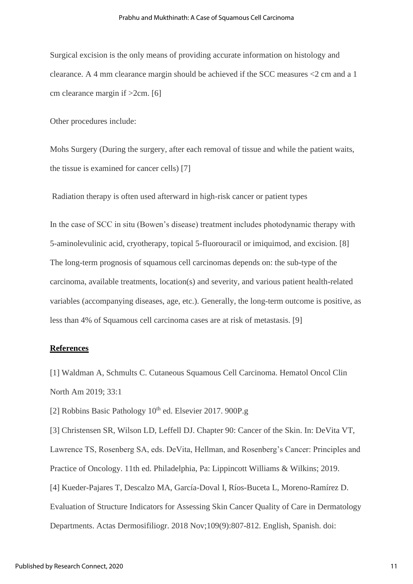Surgical excision is the only means of providing accurate information on histology and clearance. A 4 mm clearance margin should be achieved if the SCC measures <2 cm and a 1 cm clearance margin if  $>2$ cm. [6]

Other procedures include:

Mohs Surgery (During the surgery, after each removal of tissue and while the patient waits, the tissue is examined for cancer cells) [7]

Radiation therapy is often used afterward in high-risk cancer or patient types

In the case of SCC in situ (Bowen's disease) treatment includes photodynamic therapy with 5-aminolevulinic acid, cryotherapy, topical 5-fluorouracil or imiquimod, and excision. [8] The long-term prognosis of squamous cell carcinomas depends on: the sub-type of the carcinoma, available treatments, location(s) and severity, and various patient health-related variables (accompanying diseases, age, etc.). Generally, the long-term outcome is positive, as less than 4% of Squamous cell carcinoma cases are at risk of metastasis. [9]

#### **References**

[1] Waldman A, Schmults C. Cutaneous Squamous Cell Carcinoma. Hematol Oncol Clin North Am 2019; 33:1

[2] Robbins Basic Pathology 10<sup>th</sup> ed. Elsevier 2017. 900P.g

[3] Christensen SR, Wilson LD, Leffell DJ. Chapter 90: Cancer of the Skin. In: DeVita VT, Lawrence TS, Rosenberg SA, eds. DeVita, Hellman, and Rosenberg's Cancer: Principles and Practice of Oncology. 11th ed. Philadelphia, Pa: Lippincott Williams & Wilkins; 2019. [4] Kueder-Pajares T, Descalzo MA, García-Doval I, Ríos-Buceta L, Moreno-Ramírez D. Evaluation of Structure Indicators for Assessing Skin Cancer Quality of Care in Dermatology Departments. Actas Dermosifiliogr. 2018 Nov;109(9):807-812. English, Spanish. doi: